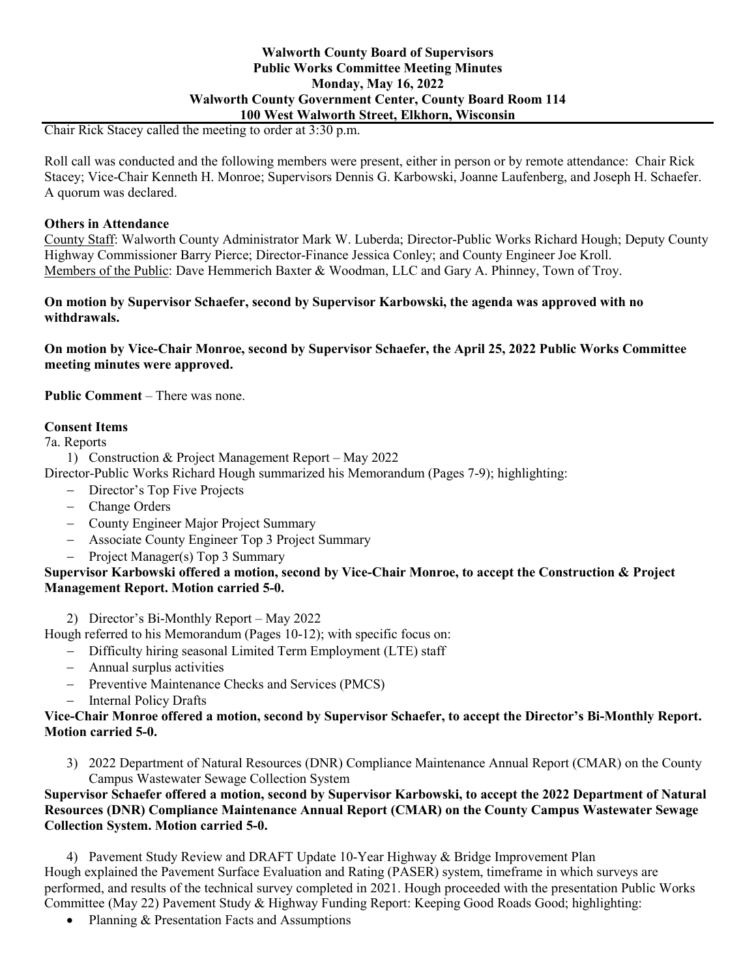### **Walworth County Board of Supervisors Public Works Committee Meeting Minutes Monday, May 16, 2022 Walworth County Government Center, County Board Room 114 100 West Walworth Street, Elkhorn, Wisconsin**

Chair Rick Stacey called the meeting to order at 3:30 p.m.

Roll call was conducted and the following members were present, either in person or by remote attendance: Chair Rick Stacey; Vice-Chair Kenneth H. Monroe; Supervisors Dennis G. Karbowski, Joanne Laufenberg, and Joseph H. Schaefer. A quorum was declared.

### **Others in Attendance**

County Staff: Walworth County Administrator Mark W. Luberda; Director-Public Works Richard Hough; Deputy County Highway Commissioner Barry Pierce; Director-Finance Jessica Conley; and County Engineer Joe Kroll. Members of the Public: Dave Hemmerich Baxter & Woodman, LLC and Gary A. Phinney, Town of Troy.

#### **On motion by Supervisor Schaefer, second by Supervisor Karbowski, the agenda was approved with no withdrawals.**

### **On motion by Vice-Chair Monroe, second by Supervisor Schaefer, the April 25, 2022 Public Works Committee meeting minutes were approved.**

**Public Comment** – There was none.

## **Consent Items**

7a. Reports

1) Construction & Project Management Report – May 2022

Director-Public Works Richard Hough summarized his Memorandum (Pages 7-9); highlighting:

- − Director's Top Five Projects
- − Change Orders
- − County Engineer Major Project Summary
- − Associate County Engineer Top 3 Project Summary
- − Project Manager(s) Top 3 Summary

## **Supervisor Karbowski offered a motion, second by Vice-Chair Monroe, to accept the Construction & Project Management Report. Motion carried 5-0.**

2) Director's Bi-Monthly Report – May 2022

Hough referred to his Memorandum (Pages 10-12); with specific focus on:

- − Difficulty hiring seasonal Limited Term Employment (LTE) staff
- − Annual surplus activities
- − Preventive Maintenance Checks and Services (PMCS)
- − Internal Policy Drafts

### **Vice-Chair Monroe offered a motion, second by Supervisor Schaefer, to accept the Director's Bi-Monthly Report. Motion carried 5-0.**

3) 2022 Department of Natural Resources (DNR) Compliance Maintenance Annual Report (CMAR) on the County Campus Wastewater Sewage Collection System

# **Supervisor Schaefer offered a motion, second by Supervisor Karbowski, to accept the 2022 Department of Natural Resources (DNR) Compliance Maintenance Annual Report (CMAR) on the County Campus Wastewater Sewage Collection System. Motion carried 5-0.**

4) Pavement Study Review and DRAFT Update 10-Year Highway & Bridge Improvement Plan Hough explained the Pavement Surface Evaluation and Rating (PASER) system, timeframe in which surveys are performed, and results of the technical survey completed in 2021. Hough proceeded with the presentation Public Works Committee (May 22) Pavement Study & Highway Funding Report: Keeping Good Roads Good; highlighting:

• Planning & Presentation Facts and Assumptions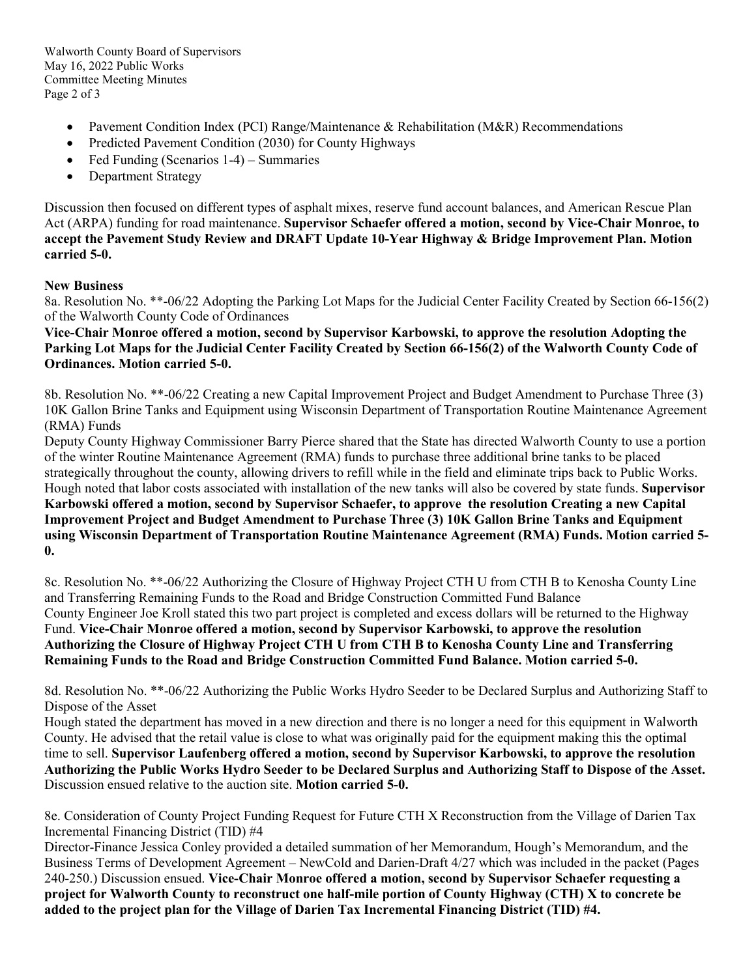Walworth County Board of Supervisors May 16, 2022 Public Works Committee Meeting Minutes Page 2 of 3

- Pavement Condition Index (PCI) Range/Maintenance & Rehabilitation (M&R) Recommendations
- Predicted Pavement Condition (2030) for County Highways
- Fed Funding (Scenarios 1-4) Summaries
- Department Strategy

Discussion then focused on different types of asphalt mixes, reserve fund account balances, and American Rescue Plan Act (ARPA) funding for road maintenance. **Supervisor Schaefer offered a motion, second by Vice-Chair Monroe, to accept the Pavement Study Review and DRAFT Update 10-Year Highway & Bridge Improvement Plan. Motion carried 5-0.**

## **New Business**

8a. Resolution No. \*\*-06/22 Adopting the Parking Lot Maps for the Judicial Center Facility Created by Section 66-156(2) of the Walworth County Code of Ordinances

**Vice-Chair Monroe offered a motion, second by Supervisor Karbowski, to approve the resolution Adopting the Parking Lot Maps for the Judicial Center Facility Created by Section 66-156(2) of the Walworth County Code of Ordinances. Motion carried 5-0.**

8b. Resolution No. \*\*-06/22 Creating a new Capital Improvement Project and Budget Amendment to Purchase Three (3) 10K Gallon Brine Tanks and Equipment using Wisconsin Department of Transportation Routine Maintenance Agreement (RMA) Funds

Deputy County Highway Commissioner Barry Pierce shared that the State has directed Walworth County to use a portion of the winter Routine Maintenance Agreement (RMA) funds to purchase three additional brine tanks to be placed strategically throughout the county, allowing drivers to refill while in the field and eliminate trips back to Public Works. Hough noted that labor costs associated with installation of the new tanks will also be covered by state funds. **Supervisor Karbowski offered a motion, second by Supervisor Schaefer, to approve the resolution Creating a new Capital Improvement Project and Budget Amendment to Purchase Three (3) 10K Gallon Brine Tanks and Equipment using Wisconsin Department of Transportation Routine Maintenance Agreement (RMA) Funds. Motion carried 5- 0.**

8c. Resolution No. \*\*-06/22 Authorizing the Closure of Highway Project CTH U from CTH B to Kenosha County Line and Transferring Remaining Funds to the Road and Bridge Construction Committed Fund Balance County Engineer Joe Kroll stated this two part project is completed and excess dollars will be returned to the Highway Fund. **Vice-Chair Monroe offered a motion, second by Supervisor Karbowski, to approve the resolution Authorizing the Closure of Highway Project CTH U from CTH B to Kenosha County Line and Transferring Remaining Funds to the Road and Bridge Construction Committed Fund Balance. Motion carried 5-0.**

8d. Resolution No. \*\*-06/22 Authorizing the Public Works Hydro Seeder to be Declared Surplus and Authorizing Staff to Dispose of the Asset

Hough stated the department has moved in a new direction and there is no longer a need for this equipment in Walworth County. He advised that the retail value is close to what was originally paid for the equipment making this the optimal time to sell. **Supervisor Laufenberg offered a motion, second by Supervisor Karbowski, to approve the resolution Authorizing the Public Works Hydro Seeder to be Declared Surplus and Authorizing Staff to Dispose of the Asset.**  Discussion ensued relative to the auction site. **Motion carried 5-0.**

8e. Consideration of County Project Funding Request for Future CTH X Reconstruction from the Village of Darien Tax Incremental Financing District (TID) #4

Director-Finance Jessica Conley provided a detailed summation of her Memorandum, Hough's Memorandum, and the Business Terms of Development Agreement – NewCold and Darien-Draft 4/27 which was included in the packet (Pages 240-250.) Discussion ensued. **Vice-Chair Monroe offered a motion, second by Supervisor Schaefer requesting a project for Walworth County to reconstruct one half-mile portion of County Highway (CTH) X to concrete be added to the project plan for the Village of Darien Tax Incremental Financing District (TID) #4.**